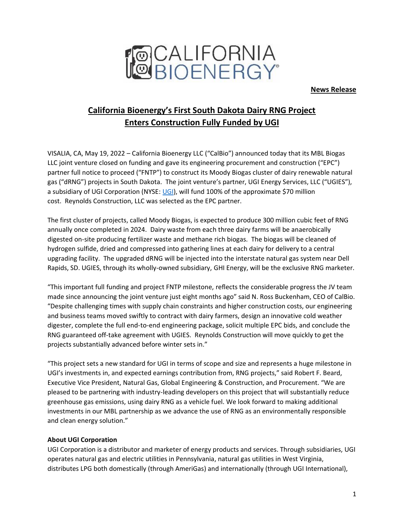

**News Release**

# **California Bioenergy's First South Dakota Dairy RNG Project Enters Construction Fully Funded by UGI**

VISALIA, CA, May 19, 2022 – California Bioenergy LLC ("CalBio") announced today that its MBL Biogas LLC joint venture closed on funding and gave its engineering procurement and construction ("EPC") partner full notice to proceed ("FNTP") to construct its Moody Biogas cluster of dairy renewable natural gas ("dRNG") projects in South Dakota. The joint venture's partner, UGI Energy Services, LLC ("UGIES"), a subsidiary of UGI Corporation (NYSE: [UGI\)](https://www.ugicorp.com/investors/investor-overview/overview), will fund 100% of the approximate \$70 million cost. Reynolds Construction, LLC was selected as the EPC partner.

The first cluster of projects, called Moody Biogas, is expected to produce 300 million cubic feet of RNG annually once completed in 2024. Dairy waste from each three dairy farms will be anaerobically digested on-site producing fertilizer waste and methane rich biogas. The biogas will be cleaned of hydrogen sulfide, dried and compressed into gathering lines at each dairy for delivery to a central upgrading facility. The upgraded dRNG will be injected into the interstate natural gas system near Dell Rapids, SD. UGIES, through its wholly-owned subsidiary, GHI Energy, will be the exclusive RNG marketer.

"This important full funding and project FNTP milestone, reflects the considerable progress the JV team made since announcing the joint venture just eight months ago" said N. Ross Buckenham, CEO of CalBio. "Despite challenging times with supply chain constraints and higher construction costs, our engineering and business teams moved swiftly to contract with dairy farmers, design an innovative cold weather digester, complete the full end-to-end engineering package, solicit multiple EPC bids, and conclude the RNG guaranteed off-take agreement with UGIES. Reynolds Construction will move quickly to get the projects substantially advanced before winter sets in."

"This project sets a new standard for UGI in terms of scope and size and represents a huge milestone in UGI's investments in, and expected earnings contribution from, RNG projects," said Robert F. Beard, Executive Vice President, Natural Gas, Global Engineering & Construction, and Procurement. "We are pleased to be partnering with industry-leading developers on this project that will substantially reduce greenhouse gas emissions, using dairy RNG as a vehicle fuel. We look forward to making additional investments in our MBL partnership as we advance the use of RNG as an environmentally responsible and clean energy solution."

#### **About UGI Corporation**

UGI Corporation is a distributor and marketer of energy products and services. Through subsidiaries, UGI operates natural gas and electric utilities in Pennsylvania, natural gas utilities in West Virginia, distributes LPG both domestically (through AmeriGas) and internationally (through UGI International),